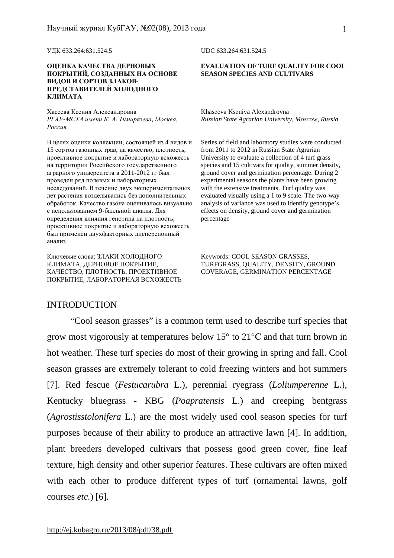УДК 633.264:631.524.5 UDC 633.264:631.524.5

#### **ОЦЕНКА КАЧЕСТВА ДЕРНОВЫХ ПОКРЫТИЙ, СОЗДАННЫХ НА ОСНОВЕ ВИДОВ И СОРТОВ ЗЛАКОВ-ПРЕДСТАВИТЕЛЕЙ ХОЛОДНОГО КЛИМАТА**

Хасеева Ксения Александровна Khaseeva Kseniya Alexandrovna *РГАУ-МСХА имени К. А. Тимирязева, Москва, Россия*

В целях оценки коллекции, состоящей из 4 видов и 15 сортов газонных трав, на качество, плотность, проективное покрытие и лабораторную всхожесть на территории Российского государственного аграрного университета в 2011-2012 гг был проведен ряд полевых и лабораторных исследований. В течение двух экспериментальных лет растения возделывались без дополнительных обработок. Качество газона оценивалось визуально с использованием 9-балльной шкалы. Для определения влияния генотипа на плотность, проективное покрытие и лабораторную всхожесть был применен двухфакторных дисперсионный анализ

Ключевые слова: ЗЛАКИ ХОЛОДНОГО КЛИМАТА, ДЕРНОВОЕ ПОКРЫТИЕ, КАЧЕСТВО, ПЛОТНОСТЬ, ПРОЕКТИВНОЕ ПОКРЫТИЕ, ЛАБОРАТОРНАЯ ВСХОЖЕСТЬ

#### **EVALUATION OF TURF QUALITY FOR COOL SEASON SPECIES AND CULTIVARS**

*Russian State Agrarian University, Moscow, Russia* 

Series of field and laboratory studies were conducted from 2011 to 2012 in Russian State Agrarian University to evaluate a collection of 4 turf grass species and 15 cultivars for quality, summer density, ground cover and germination percentage. During 2 experimental seasons the plants have been growing with the extensive treatments. Turf quality was evaluated visually using a 1 to 9 scale. The two-way analysis of variance was used to identify genotype's effects on density, ground cover and germination percentage

Keywords: COOL SEASON GRASSES, TURFGRASS, QUALITY, DENSITY, GROUND COVERAGE, GERMINATION PERCENTAGE

#### INTRODUCTION

"Cool season grasses" is a common term used to describe turf species that grow most vigorously at temperatures below 15° to 21°С and that turn brown in hot weather. These turf species do most of their growing in spring and fall. Cool season grasses are extremely tolerant to cold freezing winters and hot summers [7]. Red fescue (*Festucarubra* L.), perennial ryegrass (*Loliumperenne* L.), Kentucky bluegrass - KBG (*Poapratensis* L.) and creeping bentgrass (*Agrostisstolonifera* L.) are the most widely used cool season species for turf purposes because of their ability to produce an attractive lawn [4]. In addition, plant breeders developed cultivars that possess good green cover, fine leaf texture, high density and other superior features. These cultivars are often mixed with each other to produce different types of turf (ornamental lawns, golf courses *etc.*) [6].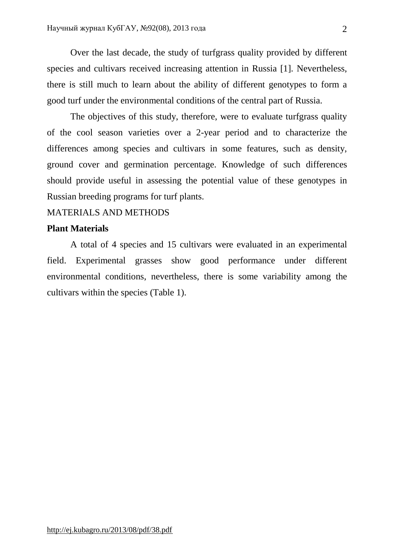Over the last decade, the study of turfgrass quality provided by different species and cultivars received increasing attention in Russia [1]. Nevertheless, there is still much to learn about the ability of different genotypes to form a good turf under the environmental conditions of the central part of Russia.

The objectives of this study, therefore, were to evaluate turfgrass quality of the cool season varieties over a 2-year period and to characterize the differences among species and cultivars in some features, such as density, ground cover and germination percentage. Knowledge of such differences should provide useful in assessing the potential value of these genotypes in Russian breeding programs for turf plants.

## MATERIALS AND METHODS

#### **Plant Materials**

A total of 4 species and 15 cultivars were evaluated in an experimental field. Experimental grasses show good performance under different environmental conditions, nevertheless, there is some variability among the cultivars within the species (Table 1).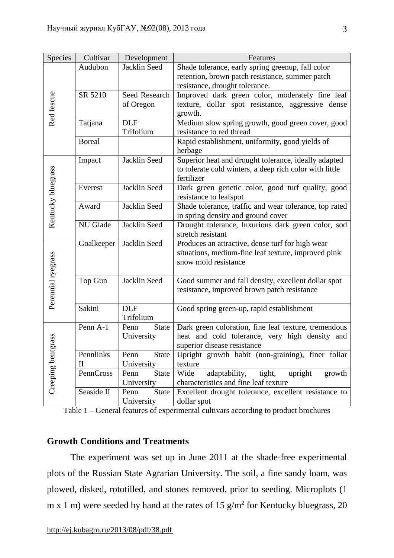| <b>Species</b>        | Cultivar                  | Development                        | Features                                                                                                                               |  |  |  |  |  |
|-----------------------|---------------------------|------------------------------------|----------------------------------------------------------------------------------------------------------------------------------------|--|--|--|--|--|
|                       | Audubon                   | Jacklin Seed                       | Shade tolerance, early spring greenup, fall color<br>retention, brown patch resistance, summer patch<br>resistance, drought tolerance. |  |  |  |  |  |
| Red fescue            | SR 5210                   | Seed Research<br>of Oregon         | Improved dark green color, moderately fine leaf<br>texture, dollar spot resistance, aggressive dense<br>growth.                        |  |  |  |  |  |
|                       | Tatjana                   | <b>DLF</b><br>Trifolium            | Medium slow spring growth, good green cover, good<br>resistance to red thread                                                          |  |  |  |  |  |
|                       | <b>Boreal</b>             |                                    | Rapid establishment, uniformity, good yields of<br>herbage                                                                             |  |  |  |  |  |
|                       | Impact                    | Jacklin Seed                       | Superior heat and drought tolerance, ideally adapted<br>to tolerate cold winters, a deep rich color with little<br>fertilizer          |  |  |  |  |  |
| Kentucky bluegrass    | Everest                   | Jacklin Seed                       | Dark green genetic color, good turf quality, good<br>resistance to leafspot                                                            |  |  |  |  |  |
|                       | Award                     | Jacklin Seed                       | Shade tolerance, traffic and wear tolerance, top rated<br>in spring density and ground cover                                           |  |  |  |  |  |
|                       | NU Glade                  | Jacklin Seed                       | Drought tolerance, luxurious dark green color, sod<br>stretch resistant                                                                |  |  |  |  |  |
| Perennial ryegrass    | Goalkeeper                | Jacklin Seed                       | Produces an attractive, dense turf for high wear<br>situations, medium-fine leaf texture, improved pink<br>snow mold resistance        |  |  |  |  |  |
|                       | Top Gun                   | Jacklin Seed                       | Good summer and fall density, excellent dollar spot<br>resistance, improved brown patch resistance                                     |  |  |  |  |  |
|                       | Sakini                    | <b>DLF</b><br>Trifolium            | Good spring green-up, rapid establishment                                                                                              |  |  |  |  |  |
| stag<br>Creeping bent | Penn A-1                  | <b>State</b><br>Penn<br>University | Dark green coloration, fine leaf texture, tremendous<br>heat and cold tolerance, very high density and<br>superior disease resistance  |  |  |  |  |  |
|                       | Pennlinks<br>$\mathbf{I}$ | <b>State</b><br>Penn<br>University | Upright growth habit (non-graining), finer foliar<br>texture                                                                           |  |  |  |  |  |
|                       | PennCross                 | Penn<br><b>State</b><br>University | Wide<br>adaptability,<br>tight,<br>upright<br>growth<br>characteristics and fine leaf texture                                          |  |  |  |  |  |
|                       | Seaside II                | <b>State</b><br>Penn<br>University | Excellent drought tolerance, excellent resistance to<br>dollar spot                                                                    |  |  |  |  |  |

Table 1 – General features of experimental cultivars according to product brochures

# **Growth Conditions and Treatments**

The experiment was set up in June 2011 at the shade-free experimental plots of the Russian State Agrarian University. The soil, a fine sandy loam, was plowed, disked, rototilled, and stones removed, prior to seeding. Microplots (1 m x 1 m) were seeded by hand at the rates of 15  $\frac{g}{m^2}$  for Kentucky bluegrass, 20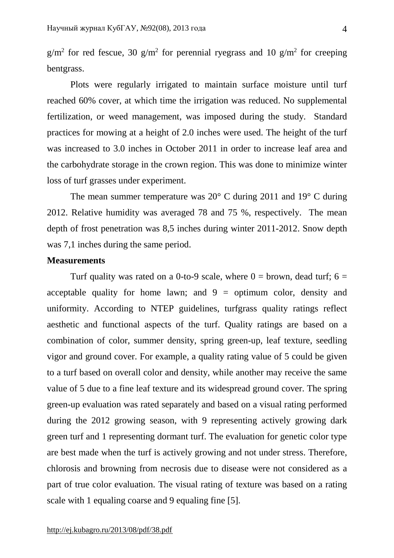$g/m^2$  for red fescue, 30  $g/m^2$  for perennial ryegrass and 10  $g/m^2$  for creeping bentgrass.

Plots were regularly irrigated to maintain surface moisture until turf reached 60% cover, at which time the irrigation was reduced. No supplemental fertilization, or weed management, was imposed during the study. Standard practices for mowing at a height of 2.0 inches were used. The height of the turf was increased to 3.0 inches in October 2011 in order to increase leaf area and the carbohydrate storage in the crown region. This was done to minimize winter loss of turf grasses under experiment.

The mean summer temperature was  $20^{\circ}$  C during 2011 and 19 $^{\circ}$  C during 2012. Relative humidity was averaged 78 and 75 %, respectively. The mean depth of frost penetration was 8,5 inches during winter 2011-2012. Snow depth was 7,1 inches during the same period.

## **Measurements**

Turf quality was rated on a 0-to-9 scale, where  $0 =$  brown, dead turf; 6 = acceptable quality for home lawn; and  $9 =$  optimum color, density and uniformity. According to NTEP guidelines, turfgrass quality ratings reflect aesthetic and functional aspects of the turf. Quality ratings are based on a combination of color, summer density, spring green-up, leaf texture, seedling vigor and ground cover. For example, a quality rating value of 5 could be given to a turf based on overall color and density, while another may receive the same value of 5 due to a fine leaf texture and its widespread ground cover. The spring green-up evaluation was rated separately and based on a visual rating performed during the 2012 growing season, with 9 representing actively growing dark green turf and 1 representing dormant turf. The evaluation for genetic color type are best made when the turf is actively growing and not under stress. Therefore, chlorosis and browning from necrosis due to disease were not considered as a part of true color evaluation. The visual rating of texture was based on a rating scale with 1 equaling coarse and 9 equaling fine [5].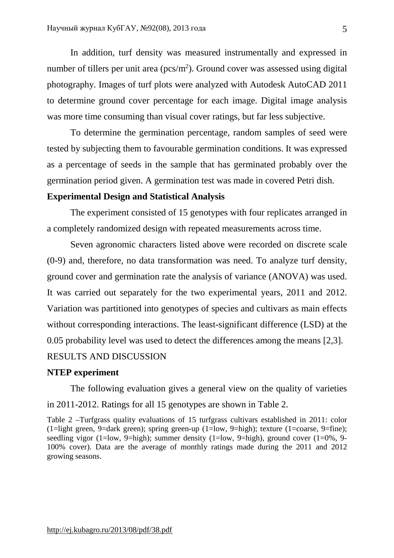In addition, turf density was measured instrumentally and expressed in number of tillers per unit area ( $pcs/m<sup>2</sup>$ ). Ground cover was assessed using digital photography. Images of turf plots were analyzed with Autodesk AutoCAD 2011 to determine ground cover percentage for each image. Digital image analysis was more time consuming than visual cover ratings, but far less subjective.

To determine the germination percentage, random samples of seed were tested by subjecting them to favourable germination conditions. It was expressed as a percentage of seeds in the sample that has germinated probably over the germination period given. A germination test was made in covered Petri dish.

## **Experimental Design and Statistical Analysis**

The experiment consisted of 15 genotypes with four replicates arranged in a completely randomized design with repeated measurements across time.

Seven agronomic characters listed above were recorded on discrete scale (0-9) and, therefore, no data transformation was need. To analyze turf density, ground cover and germination rate the analysis of variance (ANOVA) was used. It was carried out separately for the two experimental years, 2011 and 2012. Variation was partitioned into genotypes of species and cultivars as main effects without corresponding interactions. The least-significant difference (LSD) at the 0.05 probability level was used to detect the differences among the means [2,3]. RESULTS AND DISCUSSION

#### **NTEP experiment**

The following evaluation gives a general view on the quality of varieties in 2011-2012. Ratings for all 15 genotypes are shown in Table 2.

Table 2 –Turfgrass quality evaluations of 15 turfgrass cultivars established in 2011: color (1=light green, 9=dark green); spring green-up (1=low, 9=high); texture (1=coarse, 9=fine); seedling vigor (1=low, 9=high); summer density (1=low, 9=high), ground cover (1=0%, 9- 100% cover). Data are the average of monthly ratings made during the 2011 and 2012 growing seasons.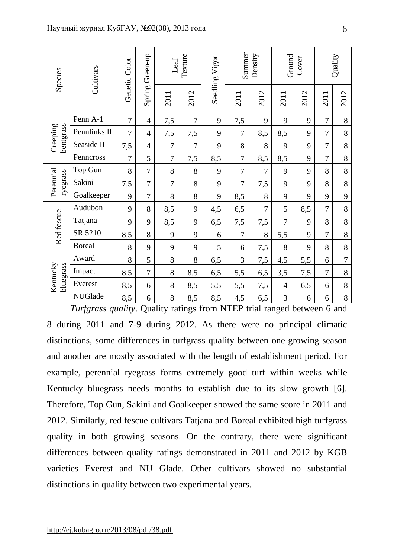| Species               | Cultivars      | Genetic Color  | Green-up<br>Spring | Texture<br>Leaf |                | Seedling Vigor | Summer<br>Density |      | Ground<br>Cover |      | Quality        |                |
|-----------------------|----------------|----------------|--------------------|-----------------|----------------|----------------|-------------------|------|-----------------|------|----------------|----------------|
|                       |                |                |                    | 2011            | 2012           |                | 201               | 2012 | 2011            | 2012 | 2011           | 2012           |
| bentgrass<br>Creeping | Penn A-1       | $\overline{7}$ | $\overline{4}$     | 7,5             | $\overline{7}$ | 9              | 7,5               | 9    | 9               | 9    | $\overline{7}$ | 8              |
|                       | Pennlinks II   | $\overline{7}$ | $\overline{4}$     | 7,5             | 7,5            | 9              | $\boldsymbol{7}$  | 8,5  | 8,5             | 9    | $\overline{7}$ | 8              |
|                       | Seaside II     | 7,5            | $\overline{4}$     | 7               | $\overline{7}$ | 9              | 8                 | 8    | 9               | 9    | $\overline{7}$ | 8              |
|                       | Penncross      | $\overline{7}$ | 5                  | $\overline{7}$  | 7,5            | 8,5            | $\overline{7}$    | 8,5  | 8,5             | 9    | 7              | $8\,$          |
| Perennial<br>ryegrass | Top Gun        | 8              | 7                  | 8               | 8              | 9              | $\boldsymbol{7}$  | 7    | 9               | 9    | 8              | 8              |
|                       | Sakini         | 7,5            | $\overline{7}$     | $\overline{7}$  | 8              | 9              | $\overline{7}$    | 7,5  | 9               | 9    | 8              | 8              |
|                       | Goalkeeper     | 9              | 7                  | 8               | 8              | 9              | 8,5               | 8    | 9               | 9    | 9              | 9              |
|                       | Audubon        | 9              | 8                  | 8,5             | 9              | 4,5            | 6,5               | 7    | 5               | 8,5  | $\overline{7}$ | 8              |
| Red fescue            | Tatjana        | 9              | 9                  | 8,5             | 9              | 6,5            | 7,5               | 7,5  | $\overline{7}$  | 9    | 8              | 8              |
|                       | SR 5210        | 8,5            | 8                  | 9               | 9              | 6              | $\overline{7}$    | 8    | 5,5             | 9    | $\overline{7}$ | 8              |
|                       | <b>Boreal</b>  | 8              | 9                  | 9               | 9              | 5              | 6                 | 7,5  | 8               | 9    | 8              | 8              |
| Kentucky<br>bluegrass | Award          | 8              | 5                  | 8               | 8              | 6,5            | 3                 | 7,5  | 4,5             | 5,5  | 6              | $\overline{7}$ |
|                       | Impact         | 8,5            | $\overline{7}$     | 8               | 8,5            | 6,5            | 5,5               | 6,5  | 3,5             | 7,5  | 7              | 8              |
|                       | Everest        | 8,5            | 6                  | 8               | 8,5            | 5,5            | 5,5               | 7,5  | $\overline{4}$  | 6,5  | 6              | $8\,$          |
|                       | <b>NUGlade</b> | 8,5            | 6                  | 8               | 8,5            | 8,5            | 4,5               | 6,5  | 3               | 6    | 6              | 8              |

*Turfgrass quality*. Quality ratings from NTEP trial ranged between 6 and 8 during 2011 and 7-9 during 2012. As there were no principal climatic distinctions, some differences in turfgrass quality between one growing season and another are mostly associated with the length of establishment period. For example, perennial ryegrass forms extremely good turf within weeks while Kentucky bluegrass needs months to establish due to its slow growth [6]. Therefore, Top Gun, Sakini and Goalkeeper showed the same score in 2011 and 2012. Similarly, red fescue cultivars Tatjana and Boreal exhibited high turfgrass quality in both growing seasons. On the contrary, there were significant differences between quality ratings demonstrated in 2011 and 2012 by KGB varieties Everest and NU Glade. Other cultivars showed no substantial distinctions in quality between two experimental years.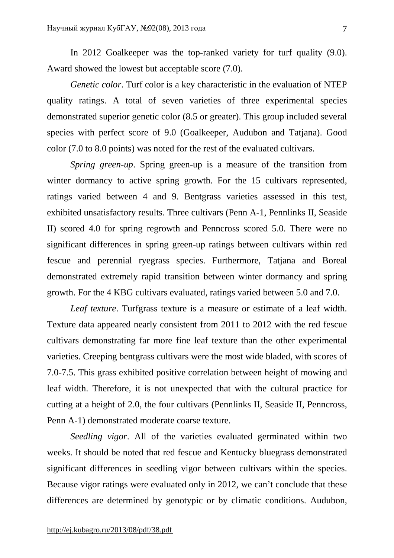In 2012 Goalkeeper was the top-ranked variety for turf quality (9.0). Award showed the lowest but acceptable score (7.0).

*Genetic color*. Turf color is a key characteristic in the evaluation of NTEP quality ratings. A total of seven varieties of three experimental species demonstrated superior genetic color (8.5 or greater). This group included several species with perfect score of 9.0 (Goalkeeper, Audubon and Tatjana). Good color (7.0 to 8.0 points) was noted for the rest of the evaluated cultivars.

*Spring green-up*. Spring green-up is a measure of the transition from winter dormancy to active spring growth. For the 15 cultivars represented, ratings varied between 4 and 9. Bentgrass varieties assessed in this test, exhibited unsatisfactory results. Three cultivars (Penn A-1, Pennlinks II, Seaside II) scored 4.0 for spring regrowth and Penncross scored 5.0. There were no significant differences in spring green-up ratings between cultivars within red fescue and perennial ryegrass species. Furthermore, Tatjana and Boreal demonstrated extremely rapid transition between winter dormancy and spring growth. For the 4 KBG cultivars evaluated, ratings varied between 5.0 and 7.0.

*Leaf texture*. Turfgrass texture is a measure or estimate of a leaf width. Texture data appeared nearly consistent from 2011 to 2012 with the red fescue cultivars demonstrating far more fine leaf texture than the other experimental varieties. Creeping bentgrass cultivars were the most wide bladed, with scores of 7.0-7.5. This grass exhibited positive correlation between height of mowing and leaf width. Therefore, it is not unexpected that with the cultural practice for cutting at a height of 2.0, the four cultivars (Pennlinks II, Seaside II, Penncross, Penn A-1) demonstrated moderate coarse texture.

*Seedling vigor*. All of the varieties evaluated germinated within two weeks. It should be noted that red fescue and Kentucky bluegrass demonstrated significant differences in seedling vigor between cultivars within the species. Because vigor ratings were evaluated only in 2012, we can't conclude that these differences are determined by genotypic or by climatic conditions. Audubon,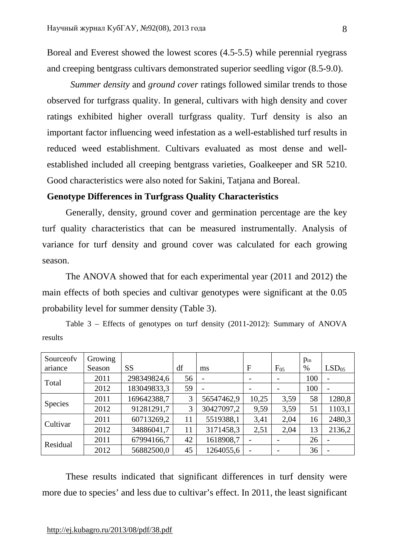Boreal and Everest showed the lowest scores (4.5-5.5) while perennial ryegrass and creeping bentgrass cultivars demonstrated superior seedling vigor (8.5-9.0).

*Summer density* and *ground cover* ratings followed similar trends to those observed for turfgrass quality. In general, cultivars with high density and cover ratings exhibited higher overall turfgrass quality. Turf density is also an important factor influencing weed infestation as a well-established turf results in reduced weed establishment. Cultivars evaluated as most dense and wellestablished included all creeping bentgrass varieties, Goalkeeper and SR 5210. Good characteristics were also noted for Sakini, Tatjana and Boreal.

## **Genotype Differences in Turfgrass Quality Characteristics**

Generally, density, ground cover and germination percentage are the key turf quality characteristics that can be measured instrumentally. Analysis of variance for turf density and ground cover was calculated for each growing season.

The ANOVA showed that for each experimental year (2011 and 2012) the main effects of both species and cultivar genotypes were significant at the 0.05 probability level for summer density (Table 3).

Table 3 – Effects of genotypes on turf density (2011-2012): Summary of ANOVA results

| Sourceofy      | Growing |             |    |            |              |          | $p_{in}$ |                   |
|----------------|---------|-------------|----|------------|--------------|----------|----------|-------------------|
| ariance        | Season  | <b>SS</b>   | df | ms         | $\mathbf{F}$ | $F_{05}$ | $\%$     | LSD <sub>05</sub> |
| Total          | 2011    | 298349824,6 | 56 |            |              |          | 100      |                   |
|                | 2012    | 183049833,3 | 59 |            |              |          | 100      |                   |
| <b>Species</b> | 2011    | 169642388,7 | 3  | 56547462,9 | 10,25        | 3,59     | 58       | 1280,8            |
|                | 2012    | 91281291,7  | 3  | 30427097,2 | 9,59         | 3,59     | 51       | 1103,1            |
| Cultivar       | 2011    | 60713269,2  | 11 | 5519388,1  | 3,41         | 2,04     | 16       | 2480,3            |
|                | 2012    | 34886041,7  | 11 | 3171458,3  | 2,51         | 2,04     | 13       | 2136,2            |
| Residual       | 2011    | 67994166,7  | 42 | 1618908,7  |              |          | 26       |                   |
|                | 2012    | 56882500,0  | 45 | 1264055,6  |              |          | 36       |                   |

These results indicated that significant differences in turf density were more due to species' and less due to cultivar's effect. In 2011, the least significant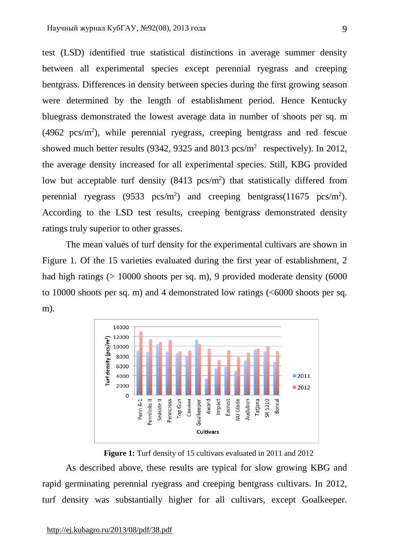test (LSD) identified true statistical distinctions in average summer density between all experimental species except perennial ryegrass and creeping bentgrass. Differences in density between species during the first growing season were determined by the length of establishment period. Hence Kentucky bluegrass demonstrated the lowest average data in number of shoots per sq. m  $(4962 \text{ pcs/m}^2)$ , while perennial ryegrass, creeping bentgrass and red fescue showed much better results (9342, 9325 and 8013  $pcs/m^2$  respectively). In 2012, the average density increased for all experimental species. Still, KBG provided low but acceptable turf density  $(8413 \text{ pcs/m}^2)$  that statistically differed from perennial ryegrass (9533  $pcs/m<sup>2</sup>$ ) and creeping bentgrass(11675  $pcs/m<sup>2</sup>$ ). According to the LSD test results, creeping bentgrass demonstrated density ratings truly superior to other grasses.

The mean values of turf density for the experimental cultivars are shown in Figure 1. Of the 15 varieties evaluated during the first year of establishment, 2 had high ratings  $(> 10000$  shoots per sq. m), 9 provided moderate density  $(6000$ to 10000 shoots per sq. m) and 4 demonstrated low ratings (<6000 shoots per sq. m).



**Figure 1:** Turf density of 15 cultivars evaluated in 2011 and 2012

As described above, these results are typical for slow growing KBG and rapid germinating perennial ryegrass and creeping bentgrass cultivars. In 2012, turf density was substantially higher for all cultivars, except Goalkeeper.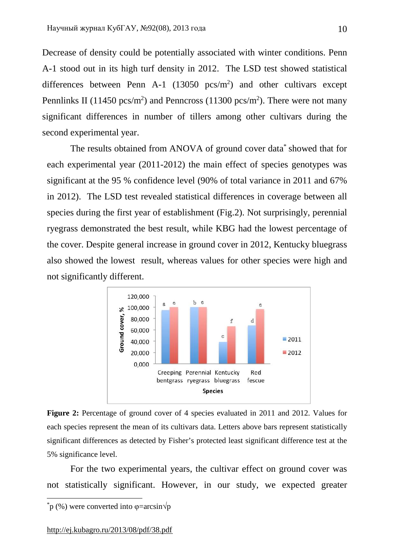Decrease of density could be potentially associated with winter conditions. Penn A-1 stood out in its high turf density in 2012. The LSD test showed statistical differences between Penn A-1  $(13050 \text{ pcs/m}^2)$  and other cultivars except Pennlinks II (11450 pcs/m<sup>2</sup>) and Penncross (11300 pcs/m<sup>2</sup>). There were not many significant differences in number of tillers among other cultivars during the second experimental year.

The results obtained from ANOVA of ground cover data\* showed that for each experimental year (2011-2012) the main effect of species genotypes was significant at the 95 % confidence level (90% of total variance in 2011 and 67% in 2012). The LSD test revealed statistical differences in coverage between all species during the first year of establishment (Fig.2). Not surprisingly, perennial ryegrass demonstrated the best result, while KBG had the lowest percentage of the cover. Despite general increase in ground cover in 2012, Kentucky bluegrass also showed the lowest result, whereas values for other species were high and not significantly different.



**Figure 2:** Percentage of ground cover of 4 species evaluated in 2011 and 2012. Values for each species represent the mean of its cultivars data. Letters above bars represent statistically significant differences as detected by Fisher's protected least significant difference test at the 5% significance level.

For the two experimental years, the cultivar effect on ground cover was not statistically significant. However, in our study, we expected greater

 $\overline{\phantom{a}}$ 

 $_{p}^{*}$  (%) were converted into  $\varphi$ =arcsin $\sqrt{p}$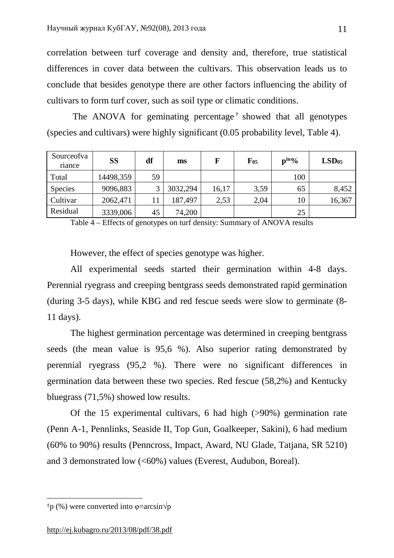correlation between turf coverage and density and, therefore, true statistical differences in cover data between the cultivars. This observation leads us to conclude that besides genotype there are other factors influencing the ability of cultivars to form turf cover, such as soil type or climatic conditions.

The ANOVA for geminating percentage<sup> $\dagger$ </sup> showed that all genotypes (species and cultivars) were highly significant (0.05 probability level, Table 4).

| Sourceofva<br>riance | <b>SS</b> | df | ms       | F     | $F_{05}$ | $p^{in_0}/$ | LSD <sub>05</sub> |
|----------------------|-----------|----|----------|-------|----------|-------------|-------------------|
| Total                | 14498,359 | 59 |          |       |          | 100         |                   |
| <b>Species</b>       | 9096,883  |    | 3032,294 | 16,17 | 3,59     | 65          | 8,452             |
| Cultivar             | 2062,471  | 11 | 187,497  | 2,53  | 2,04     | 10          | 16,367            |
| Residual             | 3339,006  | 45 | 74,200   |       |          | 25          |                   |

Table 4 – Effects of genotypes on turf density: Summary of ANOVA results

However, the effect of species genotype was higher.

All experimental seeds started their germination within 4-8 days. Perennial ryegrass and creeping bentgrass seeds demonstrated rapid germination (during 3-5 days), while KBG and red fescue seeds were slow to germinate (8- 11 days).

The highest germination percentage was determined in creeping bentgrass seeds (the mean value is 95,6 %). Also superior rating demonstrated by perennial ryegrass (95,2 %). There were no significant differences in germination data between these two species. Red fescue (58,2%) and Kentucky bluegrass (71,5%) showed low results.

Of the 15 experimental cultivars, 6 had high (>90%) germination rate (Penn A-1, Pennlinks, Seaside II, Top Gun, Goalkeeper, Sakini), 6 had medium (60% to 90%) results (Penncross, Impact, Award, NU Glade, Tatjana, SR 5210) and 3 demonstrated low (<60%) values (Everest, Audubon, Boreal).

 $\overline{\phantom{a}}$ 

<sup>&</sup>lt;sup>†</sup>p (%) were converted into  $\varphi$ =arcsin $\sqrt{p}$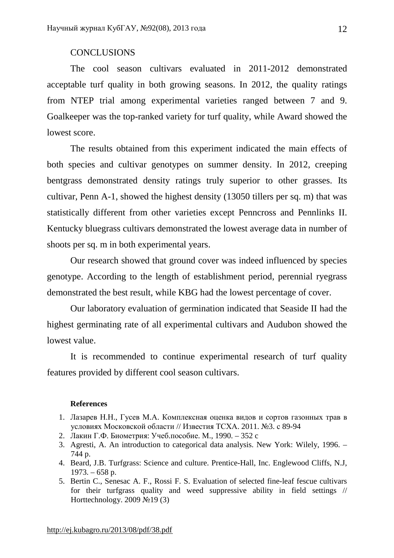#### **CONCLUSIONS**

The cool season cultivars evaluated in 2011-2012 demonstrated acceptable turf quality in both growing seasons. In 2012, the quality ratings from NTEP trial among experimental varieties ranged between 7 and 9. Goalkeeper was the top-ranked variety for turf quality, while Award showed the lowest score.

The results obtained from this experiment indicated the main effects of both species and cultivar genotypes on summer density. In 2012, creeping bentgrass demonstrated density ratings truly superior to other grasses. Its cultivar, Penn A-1, showed the highest density (13050 tillers per sq. m) that was statistically different from other varieties except Penncross and Pennlinks II. Kentucky bluegrass cultivars demonstrated the lowest average data in number of shoots per sq. m in both experimental years.

Our research showed that ground cover was indeed influenced by species genotype. According to the length of establishment period, perennial ryegrass demonstrated the best result, while KBG had the lowest percentage of cover.

Our laboratory evaluation of germination indicated that Seaside II had the highest germinating rate of all experimental cultivars and Audubon showed the lowest value.

It is recommended to continue experimental research of turf quality features provided by different cool season cultivars.

#### **References**

- 1. Лазарев Н.Н., Гусев М.А. Комплексная оценка видов и сортов газонных трав в условиях Московской области // Известия ТСХА. 2011. №3. с 89-94
- 2. Лакин Г.Ф. Биометрия: Учеб.пособие. М., 1990. 352 c
- 3. Agresti, A. An introduction to categorical data analysis. New York: Wilely, 1996. 744 p.
- 4. Beard, J.B. Turfgrass: Science and culture. Prentice-Hall, Inc. Englewood Cliffs, N.J,  $1973. - 658$  p.
- 5. Bertin C., Senesac A. F., Rossi F. S. Evaluation of selected fine-leaf fescue cultivars for their turfgrass quality and weed suppressive ability in field settings  $//$ Horttechnology. 2009 №19 (3)